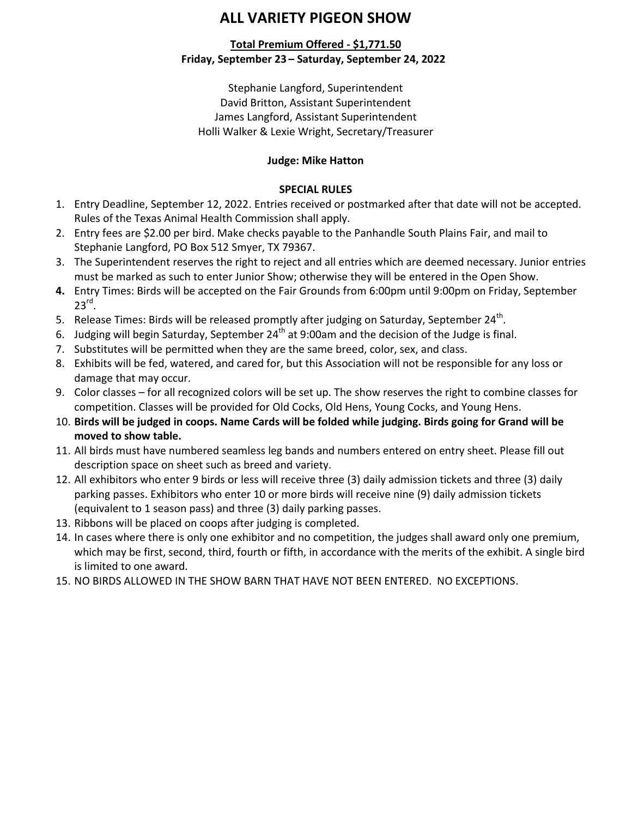# **ALL VARIETY PIGEON SHOW**

### **Total Premium Offered - \$1,771.50 Friday, September 23 – Saturday, September 24, 2022**

Stephanie Langford, Superintendent David Britton, Assistant Superintendent James Langford, Assistant Superintendent Holli Walker & Lexie Wright, Secretary/Treasurer

## **Judge: Mike Hatton**

### **SPECIAL RULES**

- 1. Entry Deadline, September 12, 2022. Entries received or postmarked after that date will not be accepted. Rules of the Texas Animal Health Commission shall apply.
- 2. Entry fees are \$2.00 per bird. Make checks payable to the Panhandle South Plains Fair, and mail to Stephanie Langford, PO Box 512 Smyer, TX 79367.
- 3. The Superintendent reserves the right to reject and all entries which are deemed necessary. Junior entries must be marked as such to enter Junior Show; otherwise they will be entered in the Open Show.
- **4.** Entry Times: Birds will be accepted on the Fair Grounds from 6:00pm until 9:00pm on Friday, September  $23^{\text{rd}}$ .
- 5. Release Times: Birds will be released promptly after judging on Saturday, September 24<sup>th</sup>.
- 6. Judging will begin Saturday, September 24<sup>th</sup> at 9:00am and the decision of the Judge is final.
- 7. Substitutes will be permitted when they are the same breed, color, sex, and class.
- 8. Exhibits will be fed, watered, and cared for, but this Association will not be responsible for any loss or damage that may occur.
- 9. Color classes for all recognized colors will be set up. The show reserves the right to combine classes for competition. Classes will be provided for Old Cocks, Old Hens, Young Cocks, and Young Hens.
- 10. **Birds will be judged in coops. Name Cards will be folded while judging. Birds going for Grand will be moved to show table.**
- 11. All birds must have numbered seamless leg bands and numbers entered on entry sheet. Please fill out description space on sheet such as breed and variety.
- 12. All exhibitors who enter 9 birds or less will receive three (3) daily admission tickets and three (3) daily parking passes. Exhibitors who enter 10 or more birds will receive nine (9) daily admission tickets (equivalent to 1 season pass) and three (3) daily parking passes.
- 13. Ribbons will be placed on coops after judging is completed.
- 14. In cases where there is only one exhibitor and no competition, the judges shall award only one premium, which may be first, second, third, fourth or fifth, in accordance with the merits of the exhibit. A single bird is limited to one award.
- 15. NO BIRDS ALLOWED IN THE SHOW BARN THAT HAVE NOT BEEN ENTERED. NO EXCEPTIONS.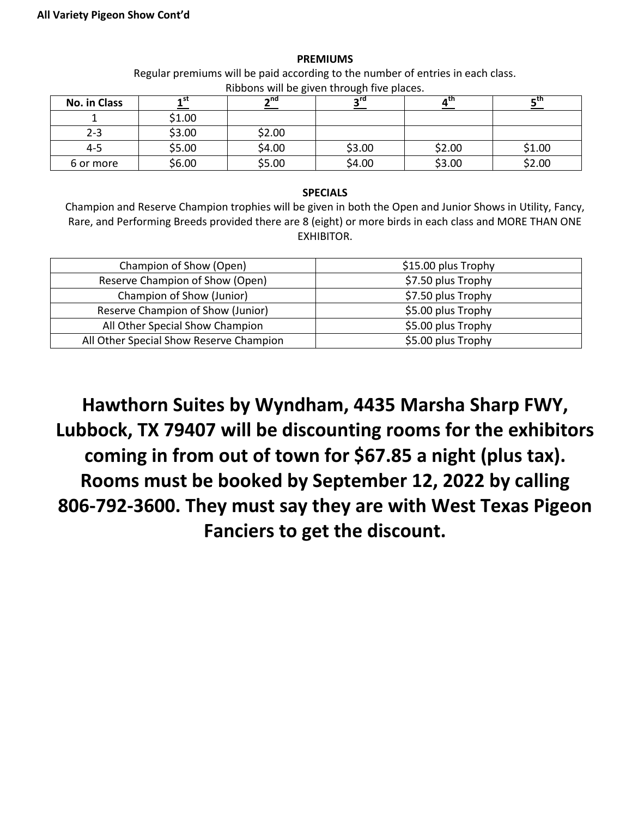#### **PREMIUMS**

Regular premiums will be paid according to the number of entries in each class. Ribbons will be given through five places.

| No. in Class | st -   | ∽uq    | o۳     | a LI I | – tn   |
|--------------|--------|--------|--------|--------|--------|
|              | \$1.00 |        |        |        |        |
| $2 - 3$      | \$3.00 | \$2.00 |        |        |        |
| $4 - 5$      | \$5.00 | \$4.00 | \$3.00 | \$2.00 | \$1.00 |
| 6 or more    | \$6.00 | \$5.00 | \$4.00 | \$3.00 | \$2.00 |

#### **SPECIALS**

Champion and Reserve Champion trophies will be given in both the Open and Junior Shows in Utility, Fancy, Rare, and Performing Breeds provided there are 8 (eight) or more birds in each class and MORE THAN ONE EXHIBITOR.

| Champion of Show (Open)                 | \$15.00 plus Trophy |  |  |
|-----------------------------------------|---------------------|--|--|
| Reserve Champion of Show (Open)         | \$7.50 plus Trophy  |  |  |
| Champion of Show (Junior)               | \$7.50 plus Trophy  |  |  |
| Reserve Champion of Show (Junior)       | \$5.00 plus Trophy  |  |  |
| All Other Special Show Champion         | \$5.00 plus Trophy  |  |  |
| All Other Special Show Reserve Champion | \$5.00 plus Trophy  |  |  |

**Hawthorn Suites by Wyndham, 4435 Marsha Sharp FWY, Lubbock, TX 79407 will be discounting rooms for the exhibitors coming in from out of town for \$67.85 a night (plus tax). Rooms must be booked by September 12, 2022 by calling 806-792-3600. They must say they are with West Texas Pigeon Fanciers to get the discount.**